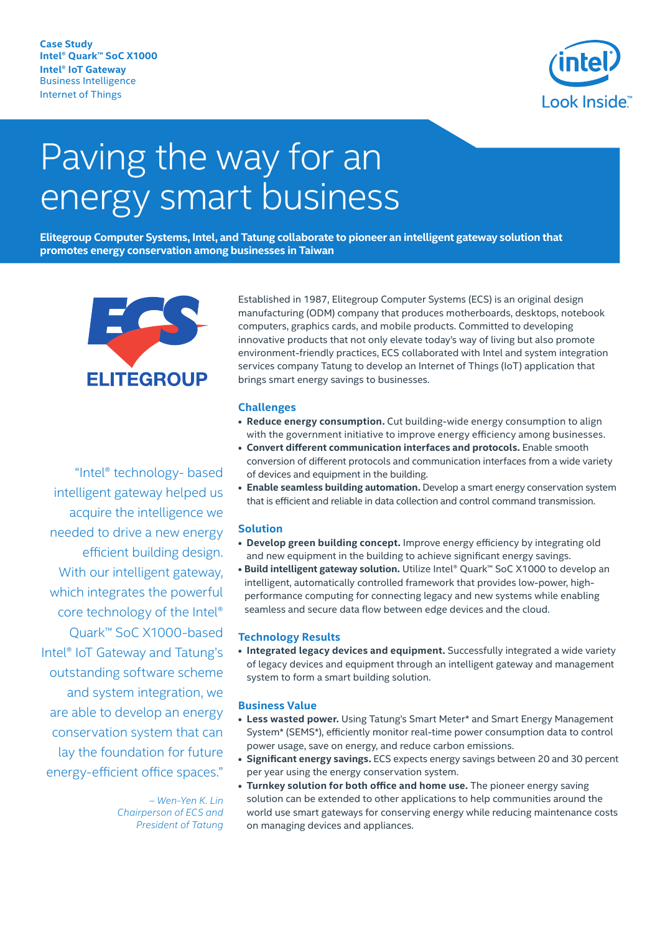**Case Study Intel® Quark™ SoC X1000 Intel® IoT Gateway** Business Intelligence Internet of Things



# Paving the way for an energy smart business

**Elitegroup Computer Systems, Intel, and Tatung collaborate to pioneer an intelligent gateway solution that promotes energy conservation among businesses in Taiwan** 



"Intel® technology- based

Established in 1987, Elitegroup Computer Systems (ECS) is an original design manufacturing (ODM) company that produces motherboards, desktops, notebook computers, graphics cards, and mobile products. Committed to developing innovative products that not only elevate today's way of living but also promote environment-friendly practices, ECS collaborated with Intel and system integration services company Tatung to develop an Internet of Things (IoT) application that brings smart energy savings to businesses.

#### **Challenges**

- **Reduce energy consumption.** Cut building-wide energy consumption to align with the government initiative to improve energy efficiency among businesses.
- **Convert different communication interfaces and protocols.** Enable smooth conversion of different protocols and communication interfaces from a wide variety of devices and equipment in the building.
- **Enable seamless building automation.** Develop a smart energy conservation system that is efficient and reliable in data collection and control command transmission.

#### **Solution**

- **Develop green building concept.** Improve energy efficiency by integrating old and new equipment in the building to achieve significant energy savings.
- **Build intelligent gateway solution.** Utilize Intel® Quark™ SoC X1000 to develop an intelligent, automatically controlled framework that provides low-power, highperformance computing for connecting legacy and new systems while enabling seamless and secure data flow between edge devices and the cloud.

#### **Technology Results**

**• Integrated legacy devices and equipment.** Successfully integrated a wide variety of legacy devices and equipment through an intelligent gateway and management system to form a smart building solution.

#### **Business Value**

- **Less wasted power.** Using Tatung's Smart Meter\* and Smart Energy Management System\* (SEMS\*), efficiently monitor real-time power consumption data to control power usage, save on energy, and reduce carbon emissions.
- **Significant energy savings.** ECS expects energy savings between 20 and 30 percent per year using the energy conservation system.
- **Turnkey solution for both office and home use.** The pioneer energy saving solution can be extended to other applications to help communities around the world use smart gateways for conserving energy while reducing maintenance costs on managing devices and appliances.

intelligent gateway helped us acquire the intelligence we needed to drive a new energy efficient building design. With our intelligent gateway, which integrates the powerful core technology of the Intel® Quark™ SoC X1000-based Intel® IoT Gateway and Tatung's outstanding software scheme and system integration, we are able to develop an energy conservation system that can lay the foundation for future energy-efficient office spaces."

> *– Wen-Yen K. Lin Chairperson of ECS and President of Tatung*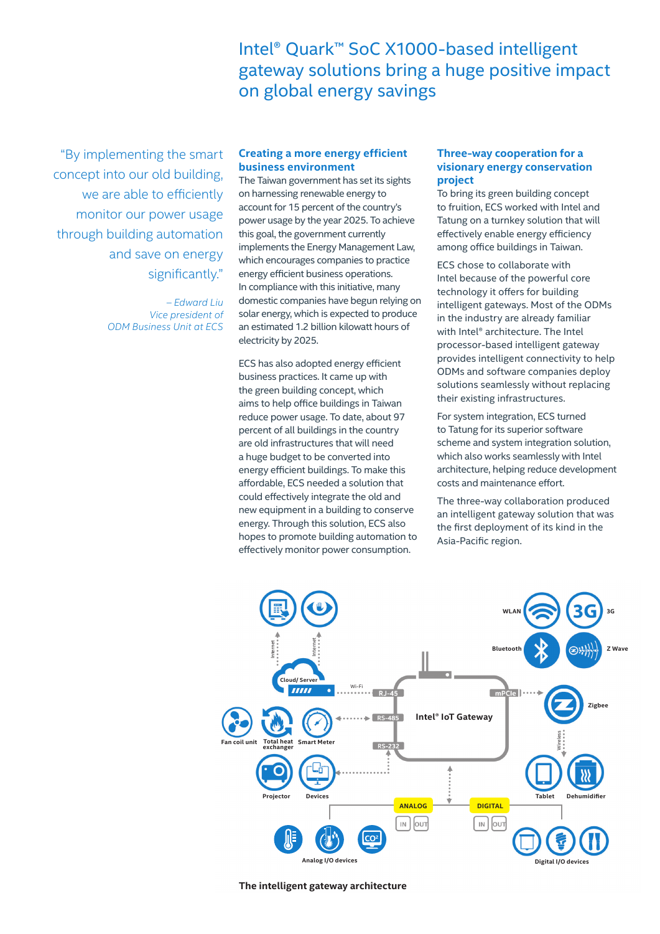Intel® Quark™ SoC X1000-based intelligent gateway solutions bring a huge positive impact on global energy savings

"By implementing the smart concept into our old building, we are able to efficiently monitor our power usage through building automation and save on energy significantly."

> *– Edward Liu Vice president of ODM Business Unit at ECS*

# **Creating a more energy efficient business environment**

The Taiwan government has set its sights on harnessing renewable energy to account for 15 percent of the country's power usage by the year 2025. To achieve this goal, the government currently implements the Energy Management Law, which encourages companies to practice energy efficient business operations. In compliance with this initiative, many domestic companies have begun relying on solar energy, which is expected to produce an estimated 1.2 billion kilowatt hours of electricity by 2025.

ECS has also adopted energy efficient business practices. It came up with the green building concept, which aims to help office buildings in Taiwan reduce power usage. To date, about 97 percent of all buildings in the country are old infrastructures that will need a huge budget to be converted into energy efficient buildings. To make this affordable, ECS needed a solution that could effectively integrate the old and new equipment in a building to conserve energy. Through this solution, ECS also hopes to promote building automation to effectively monitor power consumption.

# **Three-way cooperation for a visionary energy conservation project**

To bring its green building concept to fruition, ECS worked with Intel and Tatung on a turnkey solution that will effectively enable energy efficiency among office buildings in Taiwan.

ECS chose to collaborate with Intel because of the powerful core technology it offers for building intelligent gateways. Most of the ODMs in the industry are already familiar with Intel® architecture. The Intel processor-based intelligent gateway provides intelligent connectivity to help ODMs and software companies deploy solutions seamlessly without replacing their existing infrastructures.

For system integration, ECS turned to Tatung for its superior software scheme and system integration solution, which also works seamlessly with Intel architecture, helping reduce development costs and maintenance effort.

The three-way collaboration produced an intelligent gateway solution that was the first deployment of its kind in the Asia-Pacific region.



**The intelligent gateway architecture**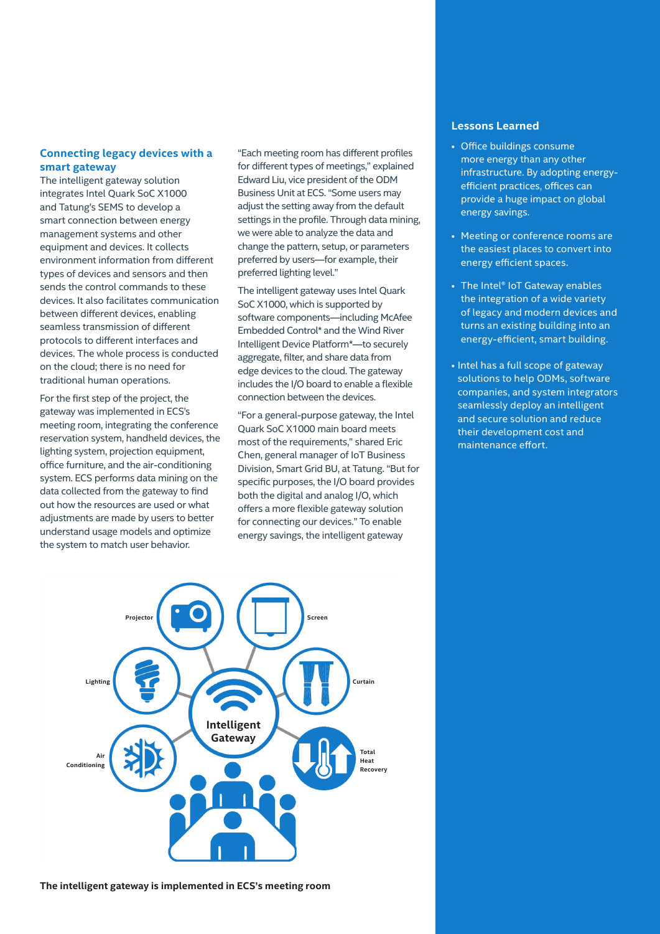# **Connecting legacy devices with a smart gateway**

The intelligent gateway solution integrates Intel Quark SoC X1000 and Tatung's SEMS to develop a smart connection between energy management systems and other equipment and devices. It collects environment information from different types of devices and sensors and then sends the control commands to these devices. It also facilitates communication between different devices, enabling seamless transmission of different protocols to different interfaces and devices. The whole process is conducted on the cloud; there is no need for traditional human operations.

For the first step of the project, the gateway was implemented in ECS's meeting room, integrating the conference reservation system, handheld devices, the lighting system, projection equipment, office furniture, and the air-conditioning system. ECS performs data mining on the data collected from the gateway to find out how the resources are used or what adjustments are made by users to better understand usage models and optimize the system to match user behavior.

"Each meeting room has different profiles for different types of meetings," explained Edward Liu, vice president of the ODM Business Unit at ECS. "Some users may adiust the setting away from the default settings in the profile. Through data mining, we were able to analyze the data and change the pattern, setup, or parameters preferred by users—for example, their preferred lighting level."

The intelligent gateway uses Intel Quark SoC X1000, which is supported by software components—including McAfee Embedded Control\* and the Wind River Intelligent Device Platform\*—to securely aggregate, filter, and share data from edge devices to the cloud. The gateway includes the I/O board to enable a flexible connection between the devices.

"For a general-purpose gateway, the Intel Quark SoC X1000 main board meets most of the requirements," shared Eric Chen, general manager of IoT Business Division, Smart Grid BU, at Tatung. "But for specific purposes, the I/O board provides both the digital and analog I/O, which offers a more flexible gateway solution for connecting our devices." To enable energy savings, the intelligent gateway

# **Lessons Learned**

- Office buildings consume more energy than any other infrastructure. By adopting energyefficient practices, offices can provide a huge impact on global energy savings.
- Meeting or conference rooms are the easiest places to convert into energy efficient spaces.
- The Intel<sup>®</sup> IoT Gateway enables the integration of a wide variety of legacy and modern devices and turns an existing building into an energy-efficient, smart building.
- Intel has a full scope of gateway solutions to help ODMs, software companies, and system integrators seamlessly deploy an intelligent and secure solution and reduce their development cost and maintenance effort.